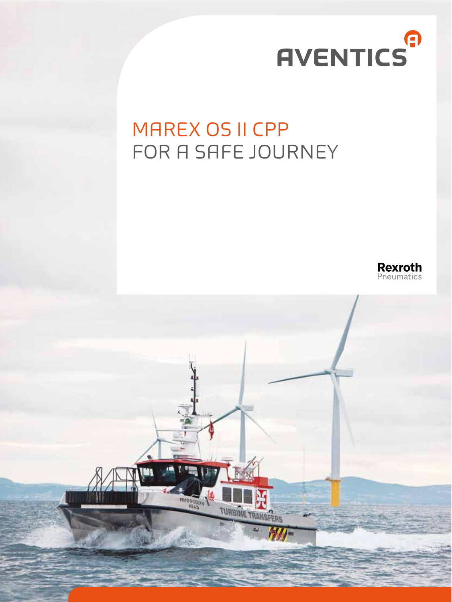# **AVENTICS**

### MAREX OS II CPP FOR A SAFE JOURNEY



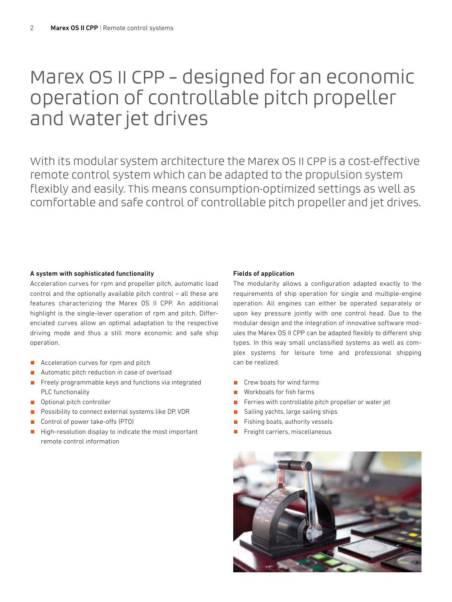### Marex OS II CPP – designed for an economic operation of controllable pitch propeller and water jet drives

With its modular system architecture the Marex OS II CPP is a cost-effective remote control system which can be adapted to the propulsion system flexibly and easily. This means consumption-optimized settings as well as comfortable and safe control of controllable pitch propeller and jet drives.

#### A system with sophisticated functionality

Acceleration curves for rpm and propeller pitch, automatic load control and the optionally available pitch control – all these are features characterizing the Marex OS II CPP. An additional highlight is the single-lever operation of rpm and pitch. Diferenciated curves allow an optimal adaptation to the respective driving mode and thus a still more economic and safe ship operation.

- Acceleration curves for rpm and pitch
- Automatic pitch reduction in case of overload
- $\blacksquare$  Freely programmable keys and functions via integrated PLC functionality
- **D** Optional pitch controller
- Possibility to connect external systems like DP, VDR
- Control of power take-offs (PTO)
- $\blacksquare$  High-resolution display to indicate the most important remote control information

#### Fields of application

The modularity allows a configuration adapted exactly to the requirements of ship operation for single and multiple-engine operation. All engines can either be operated separately or upon key pressure jointly with one control head. Due to the modular design and the integration of innovative software modules the Marex OS II CPP can be adapted flexibly to diferent ship types. In this way small unclassified systems as well as complex systems for leisure time and professional shipping can be realized.

- Crew boats for wind farms
- Workboats for fish farms
- Ferries with controllable pitch propeller or water jet
- Sailing yachts, large sailing ships
- Fishing boats, authority vessels
- Freight carriers, miscellaneous

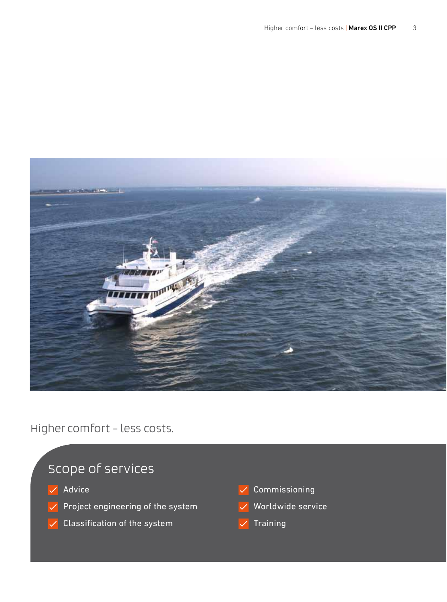

Higher comfort – less costs.

### Scope of services

- $\sqrt{\phantom{a}}$  Advice
- $\vee$  Project engineering of the system
- $\sqrt{\phantom{a}}$  Classification of the system
- $\sqrt{\ }$  Commissioning
- Worldwide service
- **Training**  $\checkmark$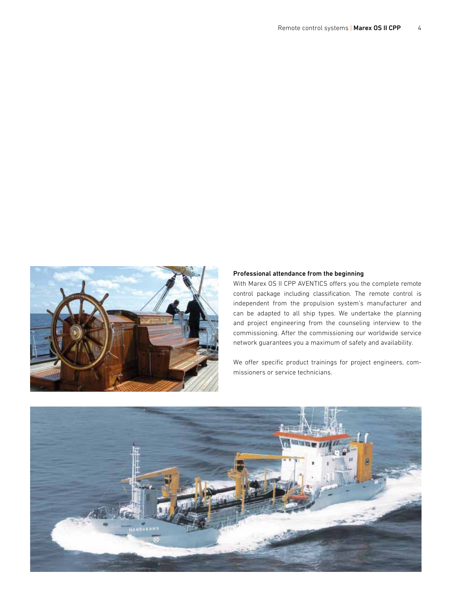

#### Professional attendance from the beginning

With Marex OS II CPP AVENTICS offers you the complete remote control package including classification. The remote control is independent from the propulsion system's manufacturer and can be adapted to all ship types. We undertake the planning and project engineering from the counseling interview to the commissioning. After the commissioning our worldwide service network guarantees you a maximum of safety and availability.

We offer specific product trainings for project engineers, commissioners or service technicians.

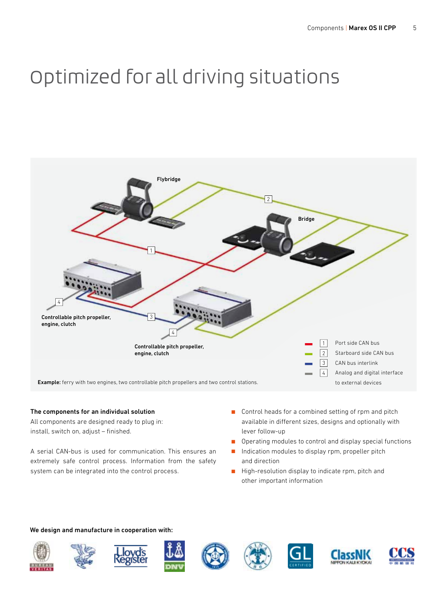## Optimized for all driving situations



#### The components for an individual solution

All components are designed ready to plug in: install, switch on, adjust – finished.

A serial CAN-bus is used for communication. This ensures an extremely safe control process. Information from the safety system can be integrated into the control process.

- Gontrol heads for a combined setting of rpm and pitch available in diferent sizes, designs and optionally with lever follow-up
- $\Box$  Operating modules to control and display special functions
- Indication modules to display rpm, propeller pitch and direction
- $\blacksquare$  High-resolution display to indicate rpm, pitch and other important information

#### We design and manufacture in cooperation with: